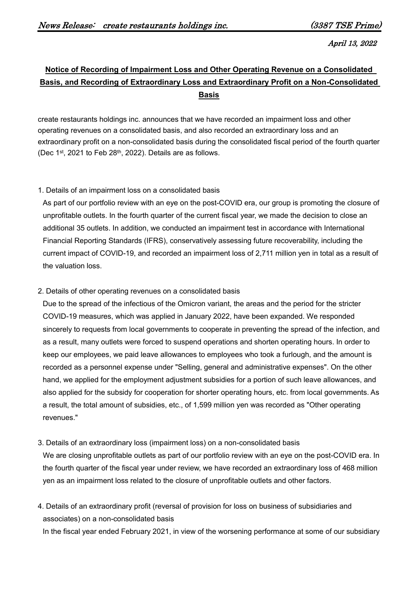April 13, 2022

## **Notice of Recording of Impairment Loss and Other Operating Revenue on a Consolidated Basis, and Recording of Extraordinary Loss and Extraordinary Profit on a Non-Consolidated Basis**

create restaurants holdings inc. announces that we have recorded an impairment loss and other operating revenues on a consolidated basis, and also recorded an extraordinary loss and an extraordinary profit on a non-consolidated basis during the consolidated fiscal period of the fourth quarter (Dec 1st, 2021 to Feb 28th, 2022). Details are as follows.

## 1. Details of an impairment loss on a consolidated basis

As part of our portfolio review with an eye on the post-COVID era, our group is promoting the closure of unprofitable outlets. In the fourth quarter of the current fiscal year, we made the decision to close an additional 35 outlets. In addition, we conducted an impairment test in accordance with International Financial Reporting Standards (IFRS), conservatively assessing future recoverability, including the current impact of COVID-19, and recorded an impairment loss of 2,711 million yen in total as a result of the valuation loss.

## 2. Details of other operating revenues on a consolidated basis

Due to the spread of the infectious of the Omicron variant, the areas and the period for the stricter COVID-19 measures, which was applied in January 2022, have been expanded. We responded sincerely to requests from local governments to cooperate in preventing the spread of the infection, and as a result, many outlets were forced to suspend operations and shorten operating hours. In order to keep our employees, we paid leave allowances to employees who took a furlough, and the amount is recorded as a personnel expense under "Selling, general and administrative expenses". On the other hand, we applied for the employment adjustment subsidies for a portion of such leave allowances, and also applied for the subsidy for cooperation for shorter operating hours, etc. from local governments. As a result, the total amount of subsidies, etc., of 1,599 million yen was recorded as "Other operating revenues."

3. Details of an extraordinary loss (impairment loss) on a non-consolidated basis

We are closing unprofitable outlets as part of our portfolio review with an eye on the post-COVID era. In the fourth quarter of the fiscal year under review, we have recorded an extraordinary loss of 468 million yen as an impairment loss related to the closure of unprofitable outlets and other factors.

4. Details of an extraordinary profit (reversal of provision for loss on business of subsidiaries and associates) on a non-consolidated basis

In the fiscal year ended February 2021, in view of the worsening performance at some of our subsidiary